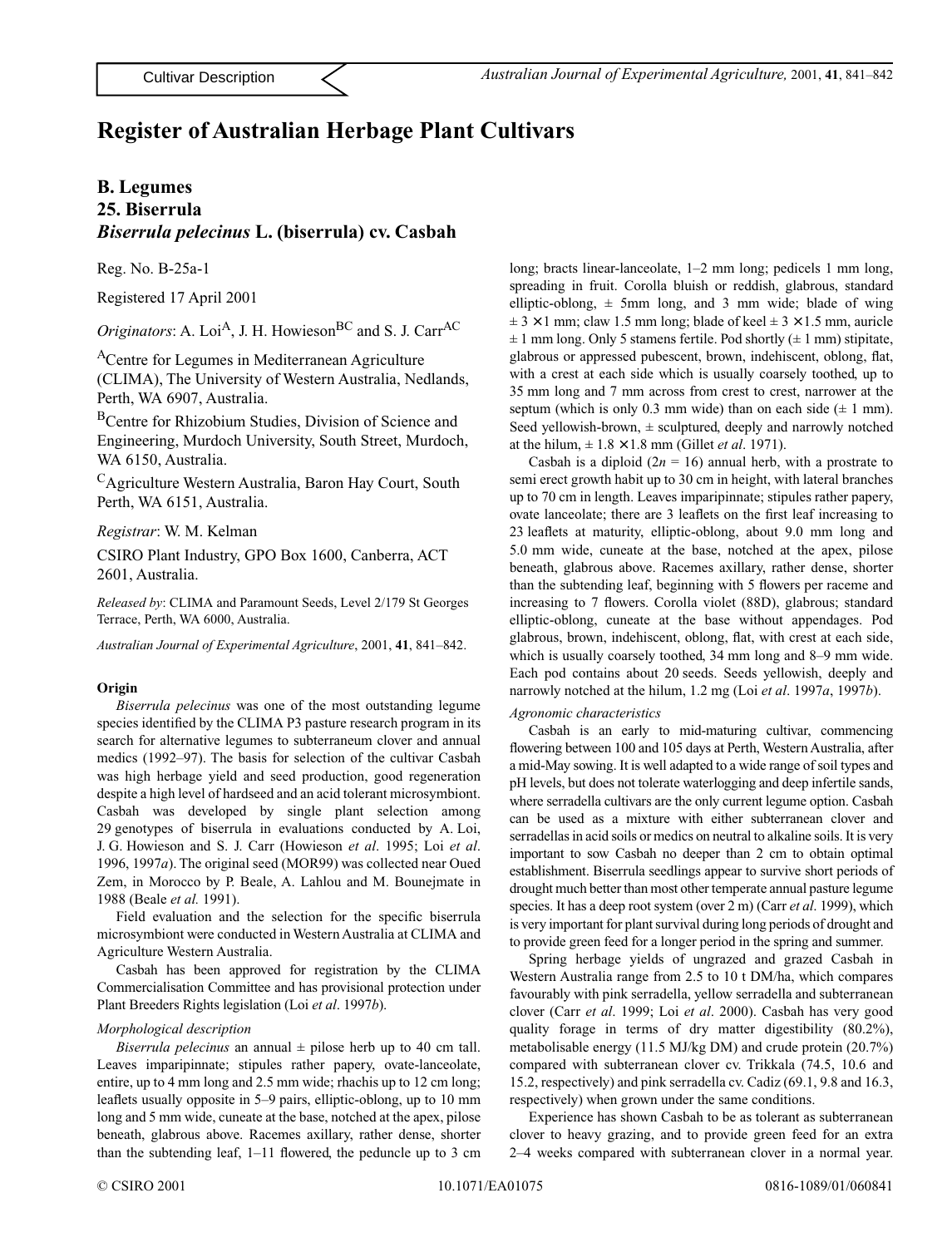# **Register of Australian Herbage Plant Cultivars**

### **B. Legumes**

## **25. Biserrula** *Biserrula pelecinus* **L. (biserrula) cv. Casbah**

Reg. No. B-25a-1

Registered 17 April 2001

*Originators*: A. Loi<sup>A</sup>, J. H. Howieson<sup>BC</sup> and S. J. Carr<sup>AC</sup>

ACentre for Legumes in Mediterranean Agriculture

(CLIMA), The University of Western Australia, Nedlands, Perth, WA 6907, Australia.

BCentre for Rhizobium Studies, Division of Science and Engineering, Murdoch University, South Street, Murdoch, WA 6150, Australia.

CAgriculture Western Australia, Baron Hay Court, South Perth, WA 6151, Australia.

*Registrar*: W. M. Kelman

CSIRO Plant Industry, GPO Box 1600, Canberra, ACT 2601, Australia.

*Released by*: CLIMA and Paramount Seeds, Level 2/179 St Georges Terrace, Perth, WA 6000, Australia.

*Australian Journal of Experimental Agriculture*, 2001, **41**, 841–842.

#### **Origin**

*Biserrula pelecinus* was one of the most outstanding legume species identified by the CLIMA P3 pasture research program in its search for alternative legumes to subterraneum clover and annual medics (1992–97). The basis for selection of the cultivar Casbah was high herbage yield and seed production, good regeneration despite a high level of hardseed and an acid tolerant microsymbiont. Casbah was developed by single plant selection among 29 genotypes of biserrula in evaluations conducted by A. Loi, J. G. Howieson and S. J. Carr (Howieson *et al*. 1995; Loi *et al*. 1996, 1997*a*). The original seed (MOR99) was collected near Oued Zem, in Morocco by P. Beale, A. Lahlou and M. Bounejmate in 1988 (Beale *et al.* 1991).

Field evaluation and the selection for the specific biserrula microsymbiont were conducted in Western Australia at CLIMA and Agriculture Western Australia.

Casbah has been approved for registration by the CLIMA Commercialisation Committee and has provisional protection under Plant Breeders Rights legislation (Loi *et al*. 1997*b*).

#### *Morphological description*

*Biserrula pelecinus* an annual  $\pm$  pilose herb up to 40 cm tall. Leaves imparipinnate; stipules rather papery, ovate-lanceolate, entire, up to 4 mm long and 2.5 mm wide; rhachis up to 12 cm long; leaflets usually opposite in 5–9 pairs, elliptic-oblong, up to 10 mm long and 5 mm wide, cuneate at the base, notched at the apex, pilose beneath, glabrous above. Racemes axillary, rather dense, shorter than the subtending leaf, 1–11 flowered, the peduncle up to 3 cm

long; bracts linear-lanceolate, 1–2 mm long; pedicels 1 mm long, spreading in fruit. Corolla bluish or reddish, glabrous, standard elliptic-oblong,  $\pm$  5mm long, and 3 mm wide; blade of wing  $\pm$  3  $\times$  1 mm; claw 1.5 mm long; blade of keel  $\pm$  3  $\times$  1.5 mm, auricle  $\pm$  1 mm long. Only 5 stamens fertile. Pod shortly ( $\pm$  1 mm) stipitate, glabrous or appressed pubescent, brown, indehiscent, oblong, flat, with a crest at each side which is usually coarsely toothed, up to 35 mm long and 7 mm across from crest to crest, narrower at the septum (which is only 0.3 mm wide) than on each side  $(\pm 1 \text{ mm})$ . Seed yellowish-brown,  $\pm$  sculptured, deeply and narrowly notched at the hilum,  $\pm 1.8 \times 1.8$  mm (Gillet *et al.* 1971).

Casbah is a diploid  $(2n = 16)$  annual herb, with a prostrate to semi erect growth habit up to 30 cm in height, with lateral branches up to 70 cm in length. Leaves imparipinnate; stipules rather papery, ovate lanceolate; there are 3 leaflets on the first leaf increasing to 23 leaflets at maturity, elliptic-oblong, about 9.0 mm long and 5.0 mm wide, cuneate at the base, notched at the apex, pilose beneath, glabrous above. Racemes axillary, rather dense, shorter than the subtending leaf, beginning with 5 flowers per raceme and increasing to 7 flowers. Corolla violet (88D), glabrous; standard elliptic-oblong, cuneate at the base without appendages. Pod glabrous, brown, indehiscent, oblong, flat, with crest at each side, which is usually coarsely toothed, 34 mm long and 8–9 mm wide. Each pod contains about 20 seeds. Seeds yellowish, deeply and narrowly notched at the hilum, 1.2 mg (Loi *et al*. 1997*a*, 1997*b*).

#### *Agronomic characteristics*

Casbah is an early to mid-maturing cultivar, commencing flowering between 100 and 105 days at Perth, Western Australia, after a mid-May sowing. It is well adapted to a wide range of soil types and pH levels, but does not tolerate waterlogging and deep infertile sands, where serradella cultivars are the only current legume option. Casbah can be used as a mixture with either subterranean clover and serradellas in acid soils or medics on neutral to alkaline soils. It is very important to sow Casbah no deeper than 2 cm to obtain optimal establishment. Biserrula seedlings appear to survive short periods of drought much better than most other temperate annual pasture legume species. It has a deep root system (over 2 m) (Carr *et al*. 1999), which is very important for plant survival during long periods of drought and to provide green feed for a longer period in the spring and summer.

Spring herbage yields of ungrazed and grazed Casbah in Western Australia range from 2.5 to 10 t DM/ha, which compares favourably with pink serradella, yellow serradella and subterranean clover (Carr *et al*. 1999; Loi *et al*. 2000). Casbah has very good quality forage in terms of dry matter digestibility (80.2%), metabolisable energy (11.5 MJ/kg DM) and crude protein (20.7%) compared with subterranean clover cv. Trikkala (74.5, 10.6 and 15.2, respectively) and pink serradella cv. Cadiz (69.1, 9.8 and 16.3, respectively) when grown under the same conditions.

Experience has shown Casbah to be as tolerant as subterranean clover to heavy grazing, and to provide green feed for an extra 2–4 weeks compared with subterranean clover in a normal year.